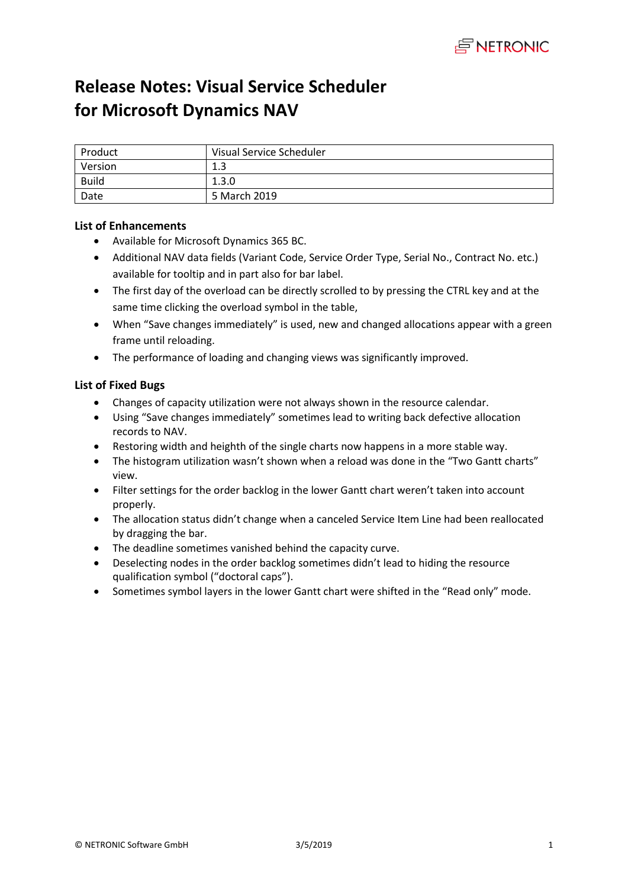

# **Release Notes: Visual Service Scheduler for Microsoft Dynamics NAV**

| Product      | Visual Service Scheduler |
|--------------|--------------------------|
| Version      | 1.3                      |
| <b>Build</b> | 1.3.0                    |
| Date         | 5 March 2019             |

# **List of Enhancements**

- Available for Microsoft Dynamics 365 BC.
- Additional NAV data fields (Variant Code, Service Order Type, Serial No., Contract No. etc.) available for tooltip and in part also for bar label.
- The first day of the overload can be directly scrolled to by pressing the CTRL key and at the same time clicking the overload symbol in the table,
- When "Save changes immediately" is used, new and changed allocations appear with a green frame until reloading.
- The performance of loading and changing views was significantly improved.

## **List of Fixed Bugs**

- Changes of capacity utilization were not always shown in the resource calendar.
- Using "Save changes immediately" sometimes lead to writing back defective allocation records to NAV.
- Restoring width and heighth of the single charts now happens in a more stable way.
- The histogram utilization wasn't shown when a reload was done in the "Two Gantt charts" view.
- Filter settings for the order backlog in the lower Gantt chart weren't taken into account properly.
- The allocation status didn't change when a canceled Service Item Line had been reallocated by dragging the bar.
- The deadline sometimes vanished behind the capacity curve.
- Deselecting nodes in the order backlog sometimes didn't lead to hiding the resource qualification symbol ("doctoral caps").
- Sometimes symbol layers in the lower Gantt chart were shifted in the "Read only" mode.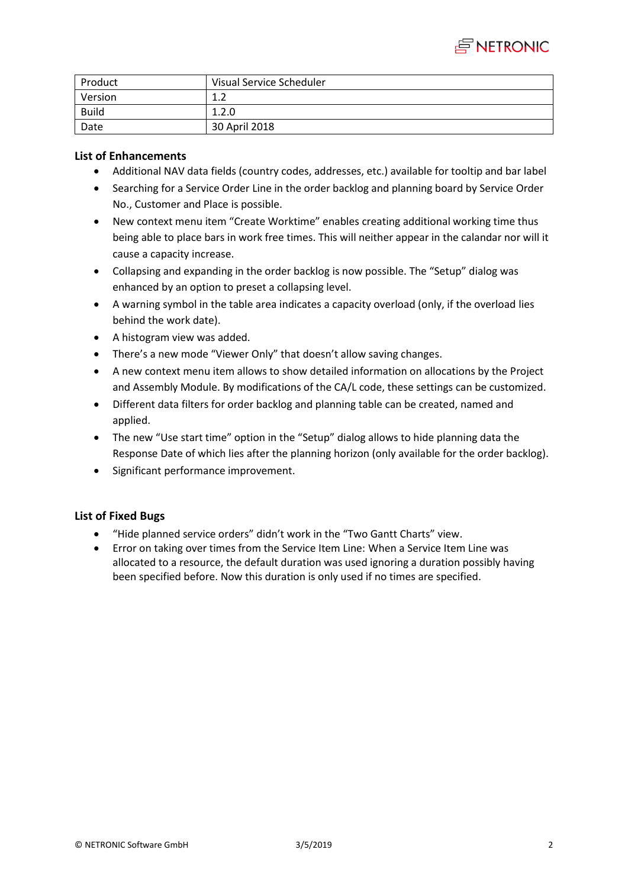

| Product      | Visual Service Scheduler |
|--------------|--------------------------|
| Version      | ⊥.∠                      |
| <b>Build</b> | 1.2.0                    |
| Date         | 30 April 2018            |

- Additional NAV data fields (country codes, addresses, etc.) available for tooltip and bar label
- Searching for a Service Order Line in the order backlog and planning board by Service Order No., Customer and Place is possible.
- New context menu item "Create Worktime" enables creating additional working time thus being able to place bars in work free times. This will neither appear in the calandar nor will it cause a capacity increase.
- Collapsing and expanding in the order backlog is now possible. The "Setup" dialog was enhanced by an option to preset a collapsing level.
- A warning symbol in the table area indicates a capacity overload (only, if the overload lies behind the work date).
- A histogram view was added.
- There's a new mode "Viewer Only" that doesn't allow saving changes.
- A new context menu item allows to show detailed information on allocations by the Project and Assembly Module. By modifications of the CA/L code, these settings can be customized.
- Different data filters for order backlog and planning table can be created, named and applied.
- The new "Use start time" option in the "Setup" dialog allows to hide planning data the Response Date of which lies after the planning horizon (only available for the order backlog).
- Significant performance improvement.

#### **List of Fixed Bugs**

- "Hide planned service orders" didn't work in the "Two Gantt Charts" view.
- Error on taking over times from the Service Item Line: When a Service Item Line was allocated to a resource, the default duration was used ignoring a duration possibly having been specified before. Now this duration is only used if no times are specified.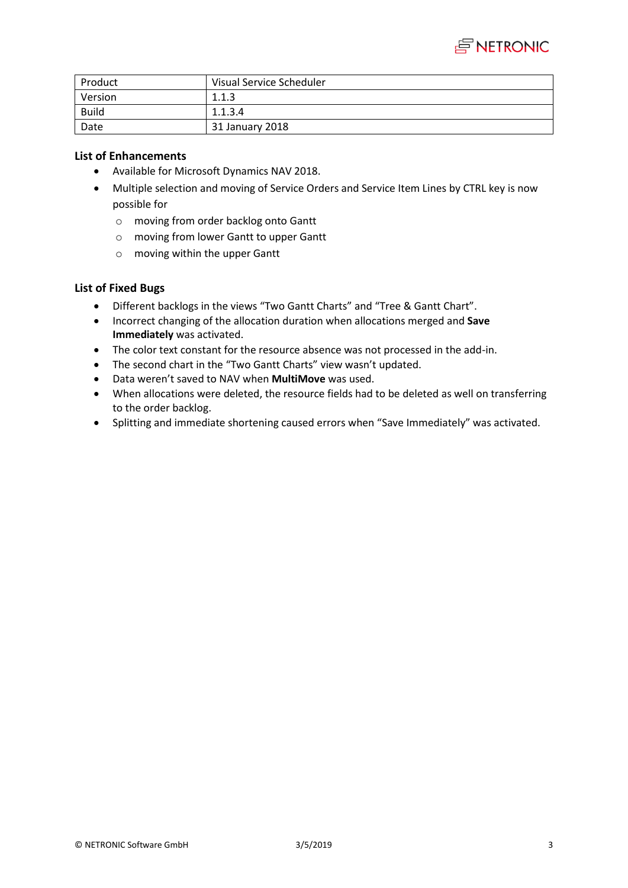

| Product      | Visual Service Scheduler |
|--------------|--------------------------|
| Version      | 1.1.3                    |
| <b>Build</b> | 1.1.3.4                  |
| Date         | 31 January 2018          |

- Available for Microsoft Dynamics NAV 2018.
- Multiple selection and moving of Service Orders and Service Item Lines by CTRL key is now possible for
	- o moving from order backlog onto Gantt
	- o moving from lower Gantt to upper Gantt
	- o moving within the upper Gantt

## **List of Fixed Bugs**

- Different backlogs in the views "Two Gantt Charts" and "Tree & Gantt Chart".
- Incorrect changing of the allocation duration when allocations merged and **Save Immediately** was activated.
- The color text constant for the resource absence was not processed in the add-in.
- The second chart in the "Two Gantt Charts" view wasn't updated.
- Data weren't saved to NAV when **MultiMove** was used.
- When allocations were deleted, the resource fields had to be deleted as well on transferring to the order backlog.
- Splitting and immediate shortening caused errors when "Save Immediately" was activated.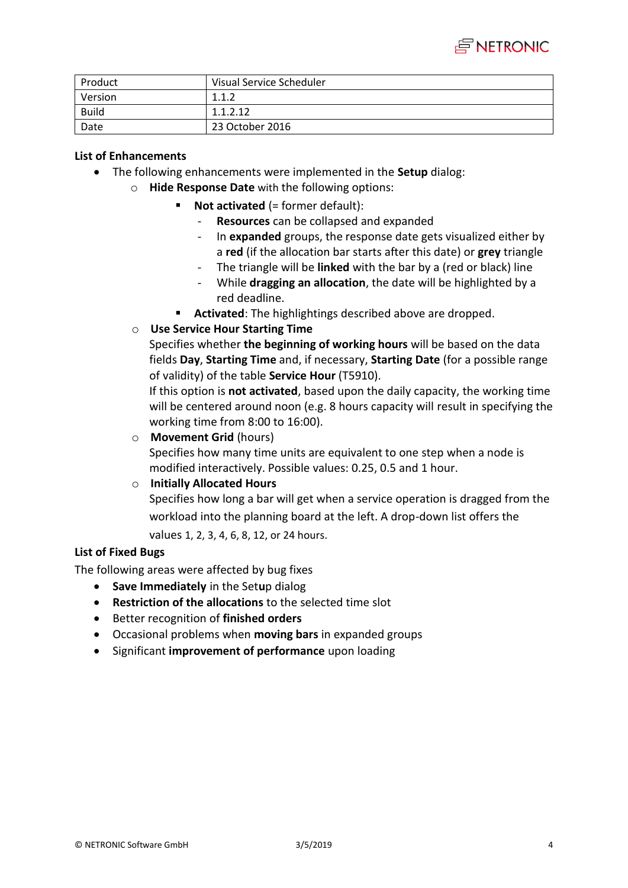

| Product      | Visual Service Scheduler |
|--------------|--------------------------|
| Version      | 1.1.2                    |
| <b>Build</b> | 1.1.2.12                 |
| Date         | 23 October 2016          |

- The following enhancements were implemented in the **Setup** dialog:
	- o **Hide Response Date** with the following options:
		- **Not activated** (= former default):
			- **Resources** can be collapsed and expanded
			- In **expanded** groups, the response date gets visualized either by a **red** (if the allocation bar starts after this date) or **grey** triangle
			- The triangle will be **linked** with the bar by a (red or black) line
			- While **dragging an allocation**, the date will be highlighted by a red deadline.
		- **Activated**: The highlightings described above are dropped.
	- o **Use Service Hour Starting Time**

Specifies whether **the beginning of working hours** will be based on the data fields **Day**, **Starting Time** and, if necessary, **Starting Date** (for a possible range of validity) of the table **Service Hour** (T5910).

If this option is **not activated**, based upon the daily capacity, the working time will be centered around noon (e.g. 8 hours capacity will result in specifying the working time from 8:00 to 16:00).

o **Movement Grid** (hours)

Specifies how many time units are equivalent to one step when a node is modified interactively. Possible values: 0.25, 0.5 and 1 hour.

## o **Initially Allocated Hours**

Specifies how long a bar will get when a service operation is dragged from the workload into the planning board at the left. A drop-down list offers the values 1, 2, 3, 4, 6, 8, 12, or 24 hours.

## **List of Fixed Bugs**

The following areas were affected by bug fixes

- **Save Immediately** in the Setup dialog
- **Restriction of the allocations** to the selected time slot
- Better recognition of **finished orders**
- Occasional problems when **moving bars** in expanded groups
- **•** Significant *improvement of performance upon loading*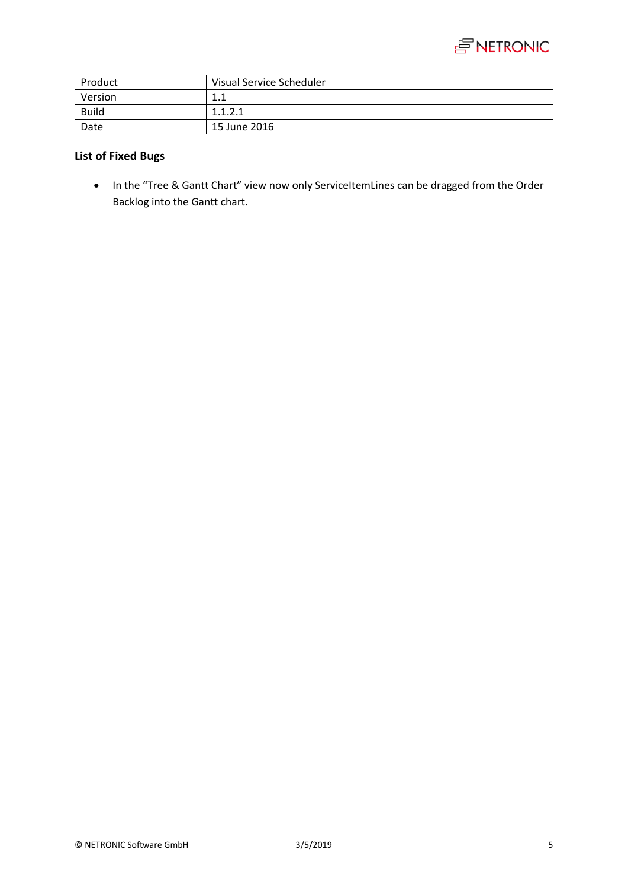

| Product      | Visual Service Scheduler |
|--------------|--------------------------|
| Version      | 11<br>⊥.⊥                |
| <b>Build</b> | 1.1.2.1                  |
| Date         | 15 June 2016             |

# **List of Fixed Bugs**

 In the "Tree & Gantt Chart" view now only ServiceItemLines can be dragged from the Order Backlog into the Gantt chart.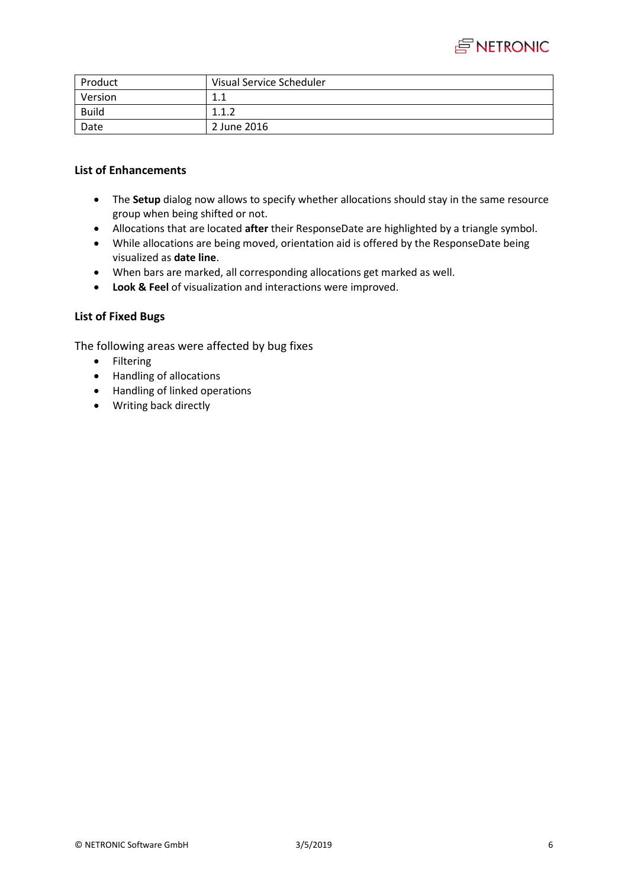

| Product      | Visual Service Scheduler |
|--------------|--------------------------|
| Version      | 11<br>1. L               |
| <b>Build</b> | 117<br>1. 1. 2           |
| Date         | 2 June 2016              |

- The **Setup** dialog now allows to specify whether allocations should stay in the same resource group when being shifted or not.
- Allocations that are located **after** their ResponseDate are highlighted by a triangle symbol.
- While allocations are being moved, orientation aid is offered by the ResponseDate being visualized as **date line**.
- When bars are marked, all corresponding allocations get marked as well.
- **Look & Feel** of visualization and interactions were improved.

## **List of Fixed Bugs**

The following areas were affected by bug fixes

- **•** Filtering
- Handling of allocations
- Handling of linked operations
- Writing back directly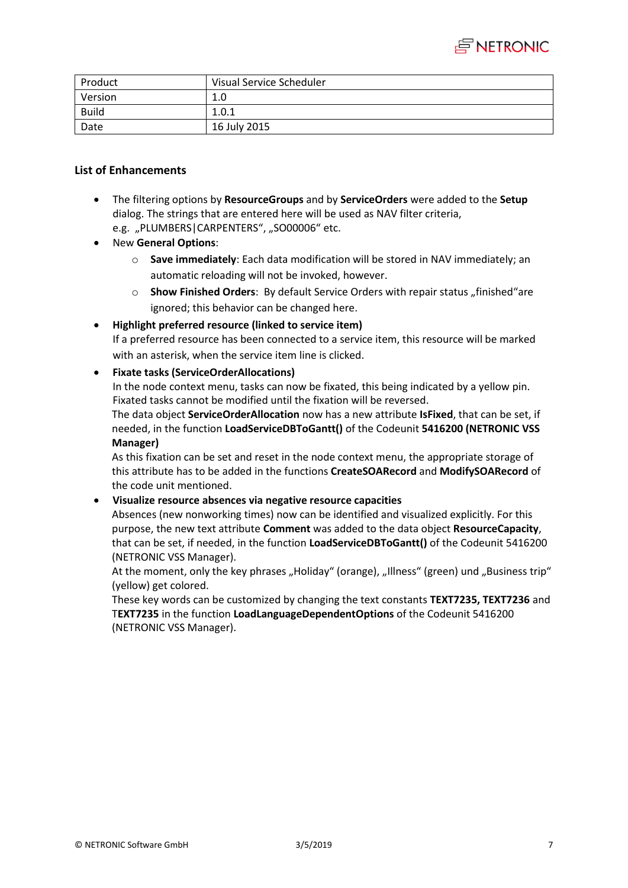

| Product      | Visual Service Scheduler |
|--------------|--------------------------|
| Version      | 1.0                      |
| <b>Build</b> | 1.0.1                    |
| Date         | 16 July 2015             |

- The filtering options by **ResourceGroups** and by **ServiceOrders** were added to the **Setup** dialog. The strings that are entered here will be used as NAV filter criteria, e.g. "PLUMBERS|CARPENTERS", "SO00006" etc.
- New **General Options**:
	- o **Save immediately**: Each data modification will be stored in NAV immediately; an automatic reloading will not be invoked, however.
	- o **Show Finished Orders**: By default Service Orders with repair status "finished"are ignored; this behavior can be changed here.
- **Highlight preferred resource (linked to service item)**

If a preferred resource has been connected to a service item, this resource will be marked with an asterisk, when the service item line is clicked.

#### **Fixate tasks (ServiceOrderAllocations)**

In the node context menu, tasks can now be fixated, this being indicated by a yellow pin. Fixated tasks cannot be modified until the fixation will be reversed.

The data object **ServiceOrderAllocation** now has a new attribute **IsFixed**, that can be set, if needed, in the function **LoadServiceDBToGantt()** of the Codeunit **5416200 (NETRONIC VSS Manager)**

As this fixation can be set and reset in the node context menu, the appropriate storage of this attribute has to be added in the functions **CreateSOARecord** and **ModifySOARecord** of the code unit mentioned.

#### **Visualize resource absences via negative resource capacities**

Absences (new nonworking times) now can be identified and visualized explicitly. For this purpose, the new text attribute **Comment** was added to the data object **ResourceCapacity**, that can be set, if needed, in the function **LoadServiceDBToGantt()** of the Codeunit 5416200 (NETRONIC VSS Manager).

At the moment, only the key phrases "Holiday" (orange), "Illness" (green) und "Business trip" (yellow) get colored.

These key words can be customized by changing the text constants **TEXT7235, TEXT7236** and T**EXT7235** in the function **LoadLanguageDependentOptions** of the Codeunit 5416200 (NETRONIC VSS Manager).